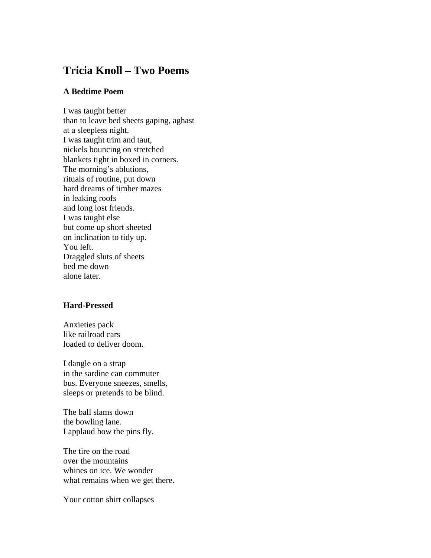## **Tricia Knoll – Two Poems**

## **A Bedtime Poem**

I was taught better than to leave bed sheets gaping, aghast at a sleepless night. I was taught trim and taut, nickels bouncing on stretched blankets tight in boxed in corners. The morning's ablutions, rituals of routine, put down hard dreams of timber mazes in leaking roofs and long lost friends. I was taught else but come up short sheeted on inclination to tidy up. You left. Draggled sluts of sheets bed me down alone later.

## **Hard-Pressed**

Anxieties pack like railroad cars loaded to deliver doom.

I dangle on a strap in the sardine can commuter bus. Everyone sneezes, smells, sleeps or pretends to be blind.

The ball slams down the bowling lane. I applaud how the pins fly.

The tire on the road over the mountains whines on ice. We wonder what remains when we get there.

Your cotton shirt collapses